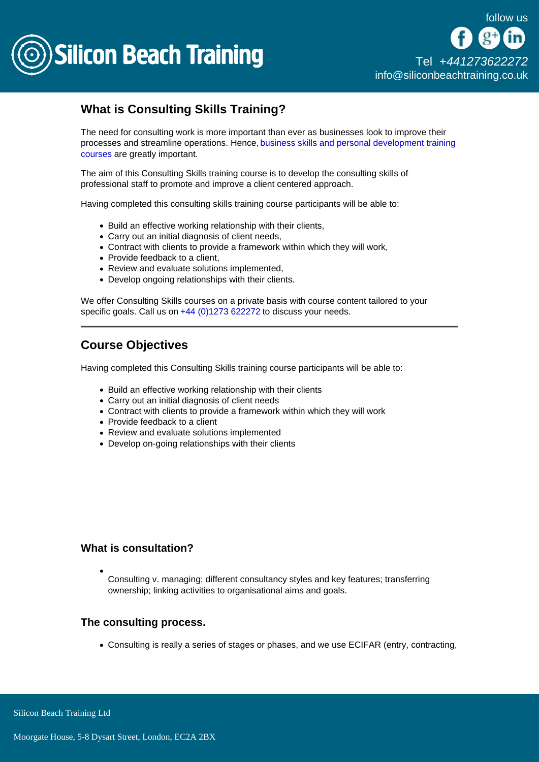

# What is Consulting Skills Training?

The need for consulting work is more important than ever as businesses look to improve their processes and streamline operations. Hence, [business skills and personal development training](/business-skills-training)  [courses](/business-skills-training) are greatly important.

The aim of this Consulting Skills training course is to develop the consulting skills of professional staff to promote and improve a client centered approach.

Having completed this consulting skills training course participants will be able to:

- Build an effective working relationship with their clients,
- Carry out an initial diagnosis of client needs,
- Contract with clients to provide a framework within which they will work,
- Provide feedback to a client,
- Review and evaluate solutions implemented,
- Develop ongoing relationships with their clients.

We offer Consulting Skills courses on a private basis with course content tailored to your specific goals. Call us on [+44 \(0\)1273 622272](tel:441273622272) to discuss your needs.

# Course Objectives

Having completed this Consulting Skills training course participants will be able to:

- Build an effective working relationship with their clients
- Carry out an initial diagnosis of client needs
- Contract with clients to provide a framework within which they will work
- Provide feedback to a client
- Review and evaluate solutions implemented
- Develop on-going relationships with their clients

#### What is consultation?

Consulting v. managing; different consultancy styles and key features; transferring ownership; linking activities to organisational aims and goals.

#### The consulting process.

Consulting is really a series of stages or phases, and we use ECIFAR (entry, contracting,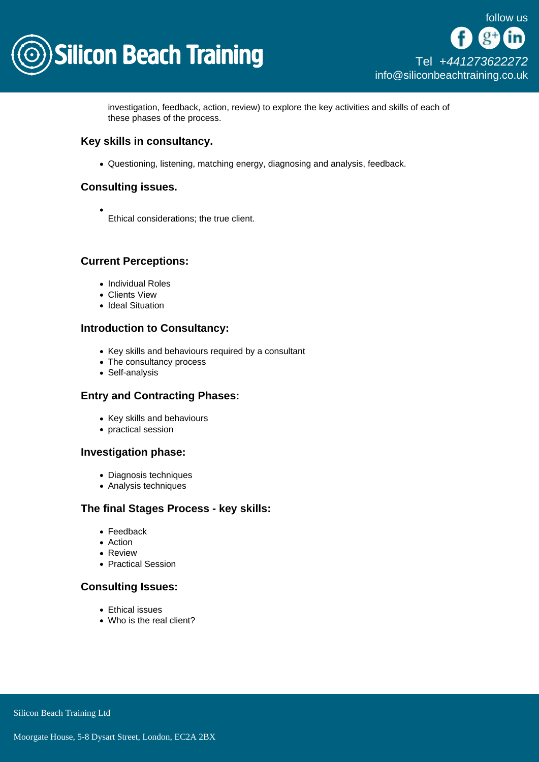

investigation, feedback, action, review) to explore the key activities and skills of each of these phases of the process.

Key skills in consultancy.

Questioning, listening, matching energy, diagnosing and analysis, feedback.

## Consulting issues.

Ethical considerations; the true client.

# Current Perceptions:

- Individual Roles
- Clients View
- Ideal Situation

#### Introduction to Consultancy:

- Key skills and behaviours required by a consultant
- The consultancy process
- Self-analysis

#### Entry and Contracting Phases:

- Key skills and behaviours
- practical session

#### Investigation phase:

- Diagnosis techniques
- Analysis techniques

# The final Stages Process - key skills:

- Feedback
- Action
- Review
- Practical Session

## Consulting Issues:

- Ethical issues
- Who is the real client?